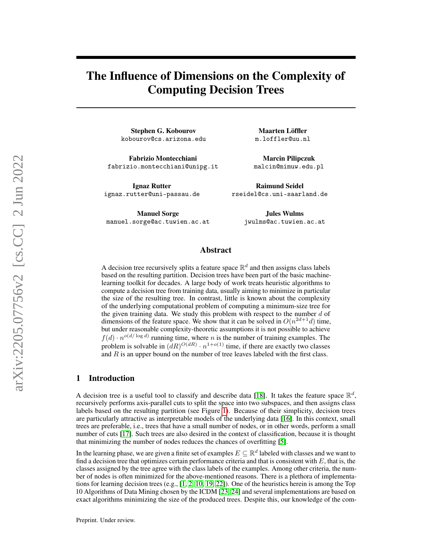# The Influence of Dimensions on the Complexity of Computing Decision Trees

Stephen G. Kobourov kobourov@cs.arizona.edu

Fabrizio Montecchiani fabrizio.montecchiani@unipg.it

Ignaz Rutter ignaz.rutter@uni-passau.de

Maarten Löffler m.loffler@uu.nl

Marcin Pilipczuk malcin@mimuw.edu.pl

Raimund Seidel rseidel@cs.uni-saarland.de

Manuel Sorge manuel.sorge@ac.tuwien.ac.at

Jules Wulms jwulms@ac.tuwien.ac.at

## Abstract

A decision tree recursively splits a feature space  $\mathbb{R}^d$  and then assigns class labels based on the resulting partition. Decision trees have been part of the basic machinelearning toolkit for decades. A large body of work treats heuristic algorithms to compute a decision tree from training data, usually aiming to minimize in particular the size of the resulting tree. In contrast, little is known about the complexity of the underlying computational problem of computing a minimum-size tree for the given training data. We study this problem with respect to the number  $d$  of dimensions of the feature space. We show that it can be solved in  $O(n^{2d+1}d)$  time, but under reasonable complexity-theoretic assumptions it is not possible to achieve  $f(d) \cdot n^{o(d/\log d)}$  running time, where *n* is the number of training examples. The problem is solvable in  $(dR)^{O(dR)} \cdot n^{1+o(1)}$  time, if there are exactly two classes and  $R$  is an upper bound on the number of tree leaves labeled with the first class.

#### 1 Introduction

A decision tree is a useful tool to classify and describe data [\[18\]](#page-12-0). It takes the feature space  $\mathbb{R}^d$ , recursively performs axis-parallel cuts to split the space into two subspaces, and then assigns class labels based on the resulting partition (see Figure [1\)](#page-2-0). Because of their simplicity, decision trees are particularly attractive as interpretable models of the underlying data [\[16\]](#page-11-0). In this context, small trees are preferable, i.e., trees that have a small number of nodes, or in other words, perform a small number of cuts [\[17\]](#page-12-1). Such trees are also desired in the context of classification, because it is thought that minimizing the number of nodes reduces the chances of overfitting [\[5\]](#page-11-1).

In the learning phase, we are given a finite set of examples  $E\subseteq \mathbb{R}^d$  labeled with classes and we want to find a decision tree that optimizes certain performance criteria and that is consistent with  $E$ , that is, the classes assigned by the tree agree with the class labels of the examples. Among other criteria, the number of nodes is often minimized for the above-mentioned reasons. There is a plethora of implementations for learning decision trees (e.g.,  $[1, 2, 10, 19, 22]$  $[1, 2, 10, 19, 22]$  $[1, 2, 10, 19, 22]$  $[1, 2, 10, 19, 22]$  $[1, 2, 10, 19, 22]$  $[1, 2, 10, 19, 22]$  $[1, 2, 10, 19, 22]$  $[1, 2, 10, 19, 22]$  $[1, 2, 10, 19, 22]$ ). One of the heuristics herein is among the Top 10 Algorithms of Data Mining chosen by the ICDM [\[23,](#page-12-4) [24\]](#page-12-5) and several implementations are based on exact algorithms minimizing the size of the produced trees. Despite this, our knowledge of the com-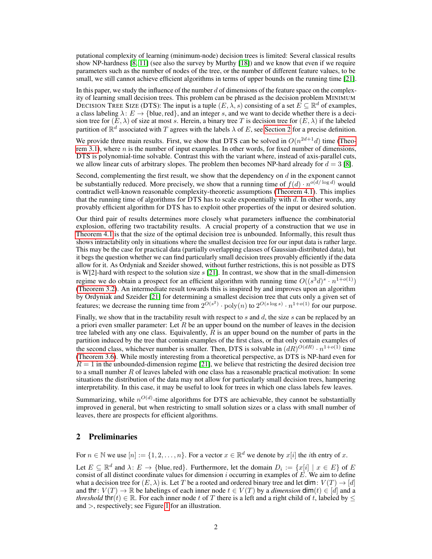putational complexity of learning (minimum-node) decision trees is limited: Several classical results show NP-hardness [\[8,](#page-11-5) [11\]](#page-11-6) (see also the survey by Murthy [\[18\]](#page-12-0)) and we know that even if we require parameters such as the number of nodes of the tree, or the number of different feature values, to be small, we still cannot achieve efficient algorithms in terms of upper bounds on the running time [\[21\]](#page-12-6).

In this paper, we study the influence of the number  $d$  of dimensions of the feature space on the complexity of learning small decision trees. This problem can be phrased as the decision problem MINIMUM DECISION TREE SIZE (DTS): The input is a tuple  $(E, \lambda, s)$  consisting of a set  $E \subseteq \mathbb{R}^d$  of examples, a class labeling  $\lambda: E \to \{\text{blue}, \text{red}\},\$  and an integer s, and we want to decide whether there is a decision tree for  $(E, \lambda)$  of size at most s. Herein, a binary tree T is decision tree for  $(E, \lambda)$  if the labeled partition of  $\mathbb{R}^d$  associated with T agrees with the labels  $\lambda$  of E, see [Section 2](#page-1-0) for a precise definition.

We provide three main results. First, we show that DTS can be solved in  $O(n^{2d+1}d)$  time [\(Theo](#page-2-1)[rem 3.1\)](#page-2-1), where  $n$  is the number of input examples. In other words, for fixed number of dimensions, DTS is polynomial-time solvable. Contrast this with the variant where, instead of axis-parallel cuts, we allow linear cuts of arbitrary slopes. The problem then becomes NP-hard already for  $d = 3$  [\[8\]](#page-11-5).

Second, complementing the first result, we show that the dependency on  $d$  in the exponent cannot be substantially reduced. More precisely, we show that a running time of  $f(d) \cdot n^{o(d/\log d)}$  would contradict well-known reasonable complexity-theoretic assumptions [\(Theorem 4.1\)](#page-6-0). This implies that the running time of algorithms for DTS has to scale exponentially with  $d$ . In other words, any provably efficient algorithm for DTS has to exploit other properties of the input or desired solution.

Our third pair of results determines more closely what parameters influence the combinatorial explosion, offering two tractability results. A crucial property of a construction that we use in [Theorem 4.1](#page-6-0) is that the size of the optimal decision tree is unbounded. Informally, this result thus shows intractability only in situations where the smallest decision tree for our input data is rather large. This may be the case for practical data (partially overlapping classes of Gaussian-distributed data), but it begs the question whether we can find particularly small decision trees provably efficiently if the data allow for it. As Ordyniak and Szeider showed, without further restrictions, this is not possible as DTS is W[2]-hard with respect to the solution size  $s$  [\[21\]](#page-12-6). In contrast, we show that in the small-dimension regime we do obtain a prospect for an efficient algorithm with running time  $O((s^3d)^s \cdot n^{1+o(1)})$ [\(Theorem 3.2\)](#page-3-0). An intermediate result towards this is inspired by and improves upon an algorithm by Ordyniak and Szeider [\[21\]](#page-12-6) for determining a smallest decision tree that cuts only a given set of features; we decrease the running time from  $2^{O(s^2)} \cdot \text{poly}(n)$  to  $2^{O(s \log s)} \cdot n^{1+o(1)}$  for our purpose.

Finally, we show that in the tractability result with respect to  $s$  and  $d$ , the size  $s$  can be replaced by an a priori even smaller parameter: Let  $R$  be an upper bound on the number of leaves in the decision tree labeled with any one class. Equivalently,  $\overline{R}$  is an upper bound on the number of parts in the partition induced by the tree that contain examples of the first class, or that only contain examples of the second class, whichever number is smaller. Then, DTS is solvable in  $(dR)^{O(dR)} \cdot n^{1+o(1)}$  time [\(Theorem 3.6\)](#page-6-1). While mostly interesting from a theoretical perspective, as DTS is NP-hard even for  $R = 1$  in the unbounded-dimension regime [\[21\]](#page-12-6), we believe that restricting the desired decision tree to a small number  $R$  of leaves labeled with one class has a reasonable practical motivation: In some situations the distribution of the data may not allow for particularly small decision trees, hampering interpretability. In this case, it may be useful to look for trees in which one class labels few leaves.

Summarizing, while  $n^{O(d)}$ -time algorithms for DTS are achievable, they cannot be substantially improved in general, but when restricting to small solution sizes or a class with small number of leaves, there are prospects for efficient algorithms.

## <span id="page-1-0"></span>2 Preliminaries

For  $n \in \mathbb{N}$  we use  $[n] := \{1, 2, \dots, n\}$ . For a vector  $x \in \mathbb{R}^d$  we denote by  $x[i]$  the *i*th entry of x.

Let  $E \subseteq \mathbb{R}^d$  and  $\lambda: E \to \{\text{blue}, \text{red}\}.$  Furthermore, let the domain  $D_i := \{x[i] \mid x \in E\}$  of E consist of all distinct coordinate values for dimension i occurring in examples of  $\vec{E}$ . We aim to define what a decision tree for  $(E, \lambda)$  is. Let T be a rooted and ordered binary tree and let dim:  $V(T) \rightarrow [d]$ and thr:  $V(T) \to \mathbb{R}$  be labelings of each inner node  $t \in V(T)$  by a *dimension* dim(t)  $\in [d]$  and a *threshold* thr(t)  $\in \mathbb{R}$ . For each inner node t of T there is a left and a right child of t, labeled by  $\leq$ and >, respectively; see Figure [1](#page-2-0) for an illustration.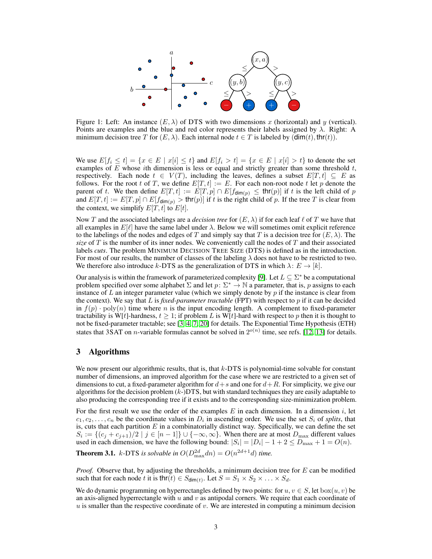<span id="page-2-0"></span>

Figure 1: Left: An instance  $(E, \lambda)$  of DTS with two dimensions x (horizontal) and y (vertical). Points are examples and the blue and red color represents their labels assigned by  $\lambda$ . Right: A minimum decision tree T for  $(E, \lambda)$ . Each internal node  $t \in T$  is labeled by  $(\dim(t), \text{thr}(t))$ .

We use  $E[f_i \le t] = \{x \in E \mid x[i] \le t\}$  and  $E[f_i > t] = \{x \in E \mid x[i] > t\}$  to denote the set examples of  $E$  whose ith dimension is less or equal and strictly greater than some threshold  $t$ , respectively. Each node  $t \in V(T)$ , including the leaves, defines a subset  $E[T, t] \subseteq E$  as follows. For the root t of T, we define  $E[T, t] := E$ . For each non-root node t let p denote the parent of t. We then define  $E[T, t] := E[T, p] \cap E[f_{\dim(p)} \leq \text{thr}(p)]$  if t is the left child of p and  $E[T, t] := E[T, p] \cap E[f_{\dim(p)} > \text{thr}(p)]$  if t is the right child of p. If the tree T is clear from the context, we simplify  $E[T, t]$  to  $E[t]$ .

Now T and the associated labelings are a *decision tree* for  $(E, \lambda)$  if for each leaf  $\ell$  of T we have that all examples in  $E[\ell]$  have the same label under  $\lambda$ . Below we will sometimes omit explicit reference to the labelings of the nodes and edges of T and simply say that T is a decision tree for  $(E, \lambda)$ . The *size* of  $T$  is the number of its inner nodes. We conveniently call the nodes of  $T$  and their associated labels *cuts*. The problem MINIMUM DECISION TREE SIZE (DTS) is defined as in the introduction. For most of our results, the number of classes of the labeling  $\lambda$  does not have to be restricted to two. We therefore also introduce k-DTS as the generalization of DTS in which  $\lambda: E \to [k]$ .

Our analysis is within the framework of parameterized complexity [\[9\]](#page-11-7). Let  $L \subseteq \Sigma^*$  be a computational problem specified over some alphabet  $\Sigma$  and let  $p: \Sigma^* \to \mathbb{N}$  a parameter, that is, p assigns to each instance of  $L$  an integer parameter value (which we simply denote by  $p$  if the instance is clear from the context). We say that L is *fixed-parameter tractable* (FPT) with respect to p if it can be decided in  $f(p) \cdot \text{poly}(n)$  time where n is the input encoding length. A complement to fixed-parameter tractability is W[t]-hardness,  $t \geq 1$ ; if problem L is W[t]-hard with respect to p then it is thought to not be fixed-parameter tractable; see [\[3,](#page-11-8) [4,](#page-11-9) [7,](#page-11-10) [20\]](#page-12-7) for details. The Exponential Time Hypothesis (ETH) states that 3SAT on *n*-variable formulas cannot be solved in  $2^{o(n)}$  time, see refs. [\[12,](#page-11-11) [13\]](#page-11-12) for details.

## 3 Algorithms

We now present our algorithmic results, that is, that k-DTS is polynomial-time solvable for constant number of dimensions, an improved algorithm for the case where we are restricted to a given set of dimensions to cut, a fixed-parameter algorithm for  $d+s$  and one for  $d+R$ . For simplicity, we give our algorithms for the decision problem  $(k-)DTS$ , but with standard techniques they are easily adaptable to also producing the corresponding tree if it exists and to the corresponding size-minimization problem.

For the first result we use the order of the examples E in each dimension. In a dimension i, let  $c_1, c_2, \ldots, c_n$  be the coordinate values in  $D_i$  in ascending order. We use the set  $S_i$  of *splits*, that is, cuts that each partition  $E$  in a combinatorially distinct way. Specifically, we can define the set  $S_i := \{(c_j + c_{j+1})/2 \mid j \in [n-1]\} \cup \{-\infty, \infty\}.$  When there are at most  $D_{\max}$  different values used in each dimension, we have the following bound:  $|S_i| = |D_i| - 1 + 2 \le D_{\text{max}} + 1 = O(n)$ .

<span id="page-2-1"></span>**Theorem 3.1.** k-DTS is solvable in  $O(D_{\text{max}}^{2d}dn) = O(n^{2d+1}d)$  time.

*Proof.* Observe that, by adjusting the thresholds, a minimum decision tree for E can be modified such that for each node t it is thr $(t) \in S_{\text{dim}(t)}$ . Let  $S = S_1 \times S_2 \times \ldots \times S_d$ .

We do dynamic programming on hyperrectangles defined by two points: for  $u, v \in S$ , let  $b\alpha x(u, v)$  be an axis-aligned hyperrectangle with  $u$  and  $v$  as antipodal corners. We require that each coordinate of  $u$  is smaller than the respective coordinate of  $v$ . We are interested in computing a minimum decision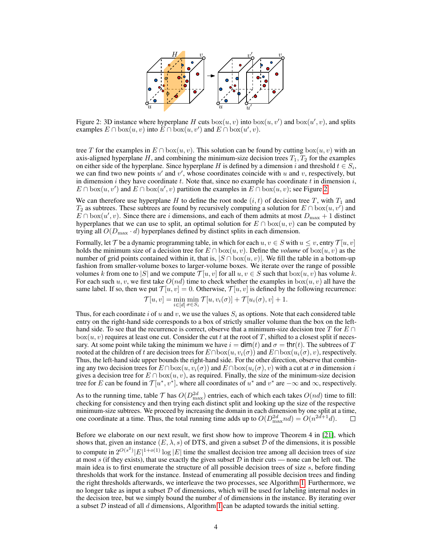<span id="page-3-1"></span>

Figure 2: 3D instance where hyperplane H cuts  $\text{box}(u, v)$  into  $\text{box}(u, v')$  and  $\text{box}(u', v)$ , and splits examples  $E \cap \text{box}(u, v)$  into  $E \cap \text{box}(u, v')$  and  $E \cap \text{box}(u', v)$ .

tree T for the examples in  $E \cap box(u, v)$ . This solution can be found by cutting  $box(u, v)$  with an axis-aligned hyperplane H, and combining the minimum-size decision trees  $T_1, T_2$  for the examples on either side of the hyperplane. Since hyperplane H is defined by a dimension i and threshold  $t \in S_i$ , we can find two new points  $u'$  and  $v'$ , whose coordinates coincide with u and v, respectively, but in dimension i they have coordinate t. Note that, since no example has coordinate t in dimension i,  $E \cap \text{box}(u, v')$  and  $E \cap \text{box}(u', v)$  partition the examples in  $E \cap \text{box}(u, v)$ ; see Figure [2.](#page-3-1)

We can therefore use hyperplane H to define the root node  $(i, t)$  of decision tree T, with  $T_1$  and  $T_2$  as subtrees. These subtrees are found by recursively computing a solution for  $E \cap \text{box}(u, v')$  and  $E \cap box(u', v)$ . Since there are i dimensions, and each of them admits at most  $D_{\text{max}} + 1$  distinct hyperplanes that we can use to split, an optimal solution for  $E \cap box(u, v)$  can be computed by trying all  $O(D_{\text{max}} \cdot d)$  hyperplanes defined by distinct splits in each dimension.

Formally, let T be a dynamic programming table, in which for each  $u, v \in S$  with  $u \leq v$ , entry  $\mathcal{T}[u, v]$ holds the minimum size of a decision tree for  $E \cap box(u, v)$ . Define the *volume* of  $box(u, v)$  as the number of grid points contained within it, that is,  $|S \cap \text{box}(u, v)|$ . We fill the table in a bottom-up fashion from smaller-volume boxes to larger-volume boxes. We iterate over the range of possible volumes k from one to |S| and we compute  $\mathcal{T}[u, v]$  for all  $u, v \in S$  such that  $b \infty(u, v)$  has volume k. For each such u, v, we first take  $O(nd)$  time to check whether the examples in  $box(u, v)$  all have the same label. If so, then we put  $\mathcal{T}[u, v] = 0$ . Otherwise,  $\mathcal{T}[u, v]$  is defined by the following recurrence:

$$
\mathcal{T}[u, v] = \min_{i \in [d]} \min_{\sigma \in S_i} \mathcal{T}[u, v_i(\sigma)] + \mathcal{T}[u_i(\sigma), v] + 1.
$$

Thus, for each coordinate i of u and v, we use the values  $S_i$  as options. Note that each considered table entry on the right-hand side corresponds to a box of strictly smaller volume than the box on the lefthand side. To see that the recurrence is correct, observe that a minimum-size decision tree T for  $E \cap E$  $box(u, v)$  requires at least one cut. Consider the cut t at the root of T, shifted to a closest split if necessary. At some point while taking the minimum we have  $i = \dim(t)$  and  $\sigma = \text{thr}(t)$ . The subtrees of T rooted at the children of t are decision trees for  $E \cap \text{box}(u, v_i(\sigma))$  and  $E \cap \text{box}(u_i(\sigma), v)$ , respectively. Thus, the left-hand side upper bounds the right-hand side. For the other direction, observe that combining any two decision trees for  $E \cap \text{box}(u, v_i(\sigma))$  and  $E \cap \text{box}(u_i(\sigma), v)$  with a cut at  $\sigma$  in dimension i gives a decision tree for  $E \cap \text{box}(u, v)$ , as required. Finally, the size of the minimum-size decision tree for E can be found in  $\mathcal{T}[u^*, v^*]$ , where all coordinates of  $u^*$  and  $v^*$  are  $-\infty$  and  $\infty$ , respectively.

As to the running time, table  $\mathcal{T}$  has  $O(D_{\text{max}}^{2d})$  entries, each of which each takes  $O(nd)$  time to fill: checking for consistency and then trying each distinct split and looking up the size of the respective minimum-size subtrees. We proceed by increasing the domain in each dimension by one split at a time, one coordinate at a time. Thus, the total running time adds up to  $O(D_{\text{max}}^{2d}nd) = O(n^{2d+1}d)$ .  $\Box$ 

<span id="page-3-0"></span>Before we elaborate on our next result, we first show how to improve Theorem 4 in [\[21\]](#page-12-6), which shows that, given an instance  $(E, \lambda, s)$  of DTS, and given a subset D of the dimensions, it is possible to compute in  $2^{O(s^2)}|E|^{1+o(1)}\log|E|$  time the smallest decision tree among all decision trees of size at most s (if they exists), that use exactly the given subset  $D$  in their cuts — none can be left out. The main idea is to first enumerate the structure of all possible decision trees of size s, before finding thresholds that work for the instance. Instead of enumerating all possible decision trees and finding the right thresholds afterwards, we interleave the two processes, see Algorithm [1.](#page-4-0) Furthermore, we no longer take as input a subset  $D$  of dimensions, which will be used for labeling internal nodes in the decision tree, but we simply bound the number  $d$  of dimensions in the instance. By iterating over a subset  $D$  instead of all  $d$  dimensions, Algorithm [1](#page-4-0) can be adapted towards the initial setting.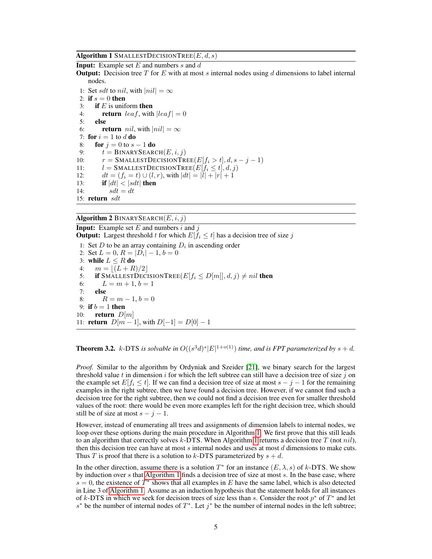Algorithm 1 SMALLESTDECISIONTREE $(E, d, s)$ 

<span id="page-4-0"></span>**Input:** Example set  $E$  and numbers  $s$  and  $d$ 

**Output:** Decision tree T for E with at most s internal nodes using d dimensions to label internal nodes.

<span id="page-4-3"></span>1: Set sdt to nil, with  $|nil| = \infty$ 2: if  $s = 0$  then 3: if  $E$  is uniform then 4: **return** leaf, with  $|leaf| = 0$ 5: else 6: **return** *nil*, with  $|nil| = \infty$ 7: for  $i = 1$  to d do 8: **for**  $j = 0$  to  $s - 1$  **do** 9:  $t = \text{BINARYSEARCH}(E, i, j)$ 10:  $r = \text{SMALLESTDECISIONTree}(E[f_i > t], d, s - j - 1)$ 11:  $l = \text{SMALLESTDECISIONTREE}(E[f_i \le t], d, j)$ <br>12:  $dt = (f_i = t) \cup (l, r)$ , with  $|dt| = |l| + |r| + 1$ 12:  $dt = (f_i = t) \cup (l, r)$ , with  $|dt| = |l| + |r| + 1$ <br>13: **if**  $|dt| < |sdt|$  **then** if  $|dt| < |sdt|$  then 14:  $sdt = dt$ 15: return sdt

<span id="page-4-2"></span>Algorithm 2 BINARYSEARCH $(E, i, j)$ 

<span id="page-4-1"></span>**Input:** Example set  $E$  and numbers  $i$  and  $j$ **Output:** Largest threshold t for which  $E[f_i \leq t]$  has a decision tree of size j

1: Set  $D$  to be an array containing  $D_i$  in ascending order 2: Set  $L = 0$ ,  $R = |D_i| - 1$ ,  $b = 0$ 3: while  $L \leq R$  do 4:  $m = |(L + R)/2|$ 5: if SMALLESTDECISIONTREE $(E[f_i \le D[m]], d, j) \neq nil$  then 6:  $L = m + 1, b = 1$ 7: else 8:  $R = m - 1, b = 0$ 9: if  $b = 1$  then 10: **return**  $D[m]$ 11: **return**  $D[m-1]$ , with  $D[-1] = D[0] - 1$ 

#### **Theorem 3.2.** k-DTS is solvable in  $O((s^3d)^s|E|^{1+o(1)})$  time, and is FPT parameterized by  $s + d$ .

*Proof.* Similar to the algorithm by Ordyniak and Szeider [\[21\]](#page-12-6), we binary search for the largest threshold value t in dimension i for which the left subtree can still have a decision tree of size j on the example set  $E[f_i \leq t]$ . If we can find a decision tree of size at most  $s - j - 1$  for the remaining examples in the right subtree, then we have found a decision tree. However, if we cannot find such a decision tree for the right subtree, then we could not find a decision tree even for smaller threshold values of the root: there would be even more examples left for the right decision tree, which should still be of size at most  $s - j - 1$ .

However, instead of enumerating all trees and assignments of dimension labels to internal nodes, we loop over these options during the main procedure in Algorithm [1.](#page-4-0) We first prove that this still leads to an algorithm that correctly solves k-DTS. When Algorithm [1](#page-4-0) returns a decision tree  $T$  (not  $nil$ ), then this decision tree can have at most  $s$  internal nodes and uses at most  $d$  dimensions to make cuts. Thus T is proof that there is a solution to k-DTS parameterized by  $s + d$ .

In the other direction, assume there is a solution  $T^*$  for an instance  $(E, \lambda, s)$  of k-DTS. We show by induction over s that [Algorithm 1](#page-4-0) finds a decision tree of size at most s. In the base case, where  $s = 0$ , the existence of  $T^*$  shows that all examples in E have the same label, which is also detected in Line 3 of [Algorithm 1.](#page-4-0) Assume as an induction hypothesis that the statement holds for all instances of k-DTS in which we seek for decision trees of size less than s. Consider the root  $p^*$  of  $T^*$  and let s<sup>\*</sup> be the number of internal nodes of  $T^*$ . Let  $j^*$  be the number of internal nodes in the left subtree;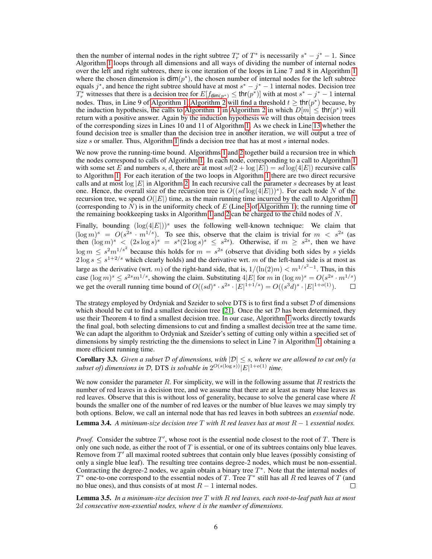then the number of internal nodes in the right subtree  $T_r^*$  of  $T^*$  is necessarily  $s^* - j^* - 1$ . Since Algorithm [1](#page-4-0) loops through all dimensions and all ways of dividing the number of internal nodes over the left and right subtrees, there is one iteration of the loops in Line 7 and 8 in Algorithm [1](#page-4-0) where the chosen dimension is  $\dim(p^*)$ , the chosen number of internal nodes for the left subtree equals  $j^*$ , and hence the right subtree should have at most  $s^* - j^* - 1$  internal nodes. Decision tree  $T_r^*$  witnesses that there is a decision tree for  $E[f_{\text{dim}(p^*)} \le \text{thr}(p^*)]$  with at most  $s^* - j^* - 1$  internal nodes. Thus, in Line 9 of [Algorithm 1,](#page-4-0) [Algorithm 2](#page-4-1) will find a threshold  $t \geq \text{thr}(p^*)$  because, by the induction hypothesis, the calls to [Algorithm 1](#page-4-0) in [Algorithm 2](#page-4-1) in which  $D[m] \leq \text{thr}(p^*)$  will return with a positive answer. Again by the induction hypothesis we will thus obtain decision trees of the corresponding sizes in Lines 10 and 11 of Algorithm [1.](#page-4-0) As we check in Line [13](#page-4-2) whether the found decision tree is smaller than the decision tree in another iteration, we will output a tree of size s or smaller. Thus, Algorithm [1](#page-4-0) finds a decision tree that has at most s internal nodes.

We now prove the running-time bound. Algorithms [1](#page-4-0) and [2](#page-4-1) together build a recursion tree in which the nodes correspond to calls of Algorithm [1.](#page-4-0) In each node, corresponding to a call to Algorithm [1](#page-4-0) with some set E and numbers s, d, there are at most  $sd(2 + \log |E|) = sd \log(4|E|)$  recursive calls to Algorithm [1:](#page-4-0) For each iteration of the two loops in Algorithm [1](#page-4-0) there are two direct recursive calls and at most  $log |E|$  in Algorithm [2.](#page-4-1) In each recursive call the parameter s decreases by at least one. Hence, the overall size of the recursion tree is  $O((sd \log(4|E|))^s)$ . For each node N of the recursion tree, we spend  $O(|E|)$  time, as the main running time incurred by the call to Algorithm [1](#page-4-0) (corresponding to N) is in the uniformity check of E (Line [3](#page-4-3) of [Algorithm 1\)](#page-4-0); the running time of the remaining bookkeeping tasks in Algorithm [1](#page-4-0) and [2](#page-4-1) can be charged to the child nodes of  $N$ .

Finally, bounding  $(\log(4|E|))^s$  uses the following well-known technique: We claim that  $(\log m)^s = O(s^{2s} \cdot m^{1/s})$ . To see this, observe that the claim is trivial for  $m < s^{2s}$  (as then  $(\log m)^s$  <  $(2s \log s)^s = s^s (2 \log s)^s \leq s^{2s}$ . Otherwise, if  $m \geq s^{2s}$ , then we have  $\log m \leq s^2 m^{1/s^2}$  because this holds for  $m = s^{2s}$  (observe that dividing both sides by s yields  $2 \log s \leq s^{1+2/s}$  which clearly holds) and the derivative wrt. m of the left-hand side is at most as large as the derivative (wrt. m) of the right-hand side, that is,  $1/(\ln(2)m) < m^{1/s^2-1}$ . Thus, in this case  $(\log m)^s \le s^{2s} m^{1/s}$ , showing the claim. Substituting  $4|E|$  for m in  $(\log m)^s = O(s^{2s} \cdot m^{1/s})$ we get the overall running time bound of  $O((sd)^s \cdot s^{2s} \cdot |E|^{1+1/s}) = O((s^3d)^s \cdot |E|^{1+o(1)})$ .  $\Box$ 

The strategy employed by Ordyniak and Szeider to solve DTS is to first find a subset D of dimensions which should be cut to find a smallest decision tree [\[21\]](#page-12-6). Once the set  $D$  has been determined, they use their Theorem 4 to find a smallest decision tree. In our case, Algorithm [1](#page-4-0) works directly towards the final goal, both selecting dimensions to cut and finding a smallest decision tree at the same time. We can adapt the algorithm to Ordyniak and Szeider's setting of cutting only within a specified set of dimensions by simply restricting the the dimensions to select in Line 7 in Algorithm [1,](#page-4-0) obtaining a more efficient running time.

**Corollary 3.3.** *Given a subset*  $D$  *of dimensions, with*  $|D| \leq s$ *, where we are allowed to cut only (a subset of) dimensions in*  $D$ , DTS *is solvable in*  $2^{O(s(\log s))} |E|^{1+o(1)}$  *time.* 

We now consider the parameter  $R$ . For simplicity, we will in the following assume that  $R$  restricts the number of red leaves in a decision tree, and we assume that there are at least as many blue leaves as red leaves. Observe that this is without loss of generality, because to solve the general case where  $R$ bounds the smaller one of the number of red leaves or the number of blue leaves we may simply try both options. Below, we call an internal node that has red leaves in both subtrees an *essential* node.

<span id="page-5-1"></span>**Lemma 3.4.** *A minimum-size decision tree*  $T$  *with*  $R$  *red leaves has at most*  $R - 1$  *essential nodes.* 

*Proof.* Consider the subtree  $T'$ , whose root is the essential node closest to the root of  $T$ . There is only one such node, as either the root of  $T$  is essential, or one of its subtrees contains only blue leaves. Remove from  $T'$  all maximal rooted subtrees that contain only blue leaves (possibly consisting of only a single blue leaf). The resulting tree contains degree-2 nodes, which must be non-essential. Contracting the degree-2 nodes, we again obtain a binary tree  $T^*$ . Note that the internal nodes of  $T^*$  one-to-one correspond to the essential nodes of T. Tree  $T^*$  still has all R red leaves of T (and no blue ones), and thus consists of at most  $R-1$  internal nodes. П

<span id="page-5-0"></span>Lemma 3.5. *In a minimum-size decision tree* T *with* R *red leaves, each root-to-leaf path has at most* 2d *consecutive non-essential nodes, where* d *is the number of dimensions.*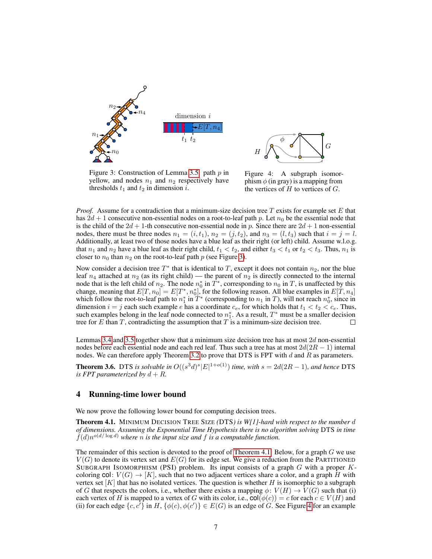

<span id="page-6-3"></span>

Figure 3: Construction of Lemma [3.5:](#page-5-0) path  $p$  in yellow, and nodes  $n_1$  and  $n_2$  respectively have thresholds  $t_1$  and  $t_2$  in dimension i.

<span id="page-6-2"></span>Figure 4: A subgraph isomorphism  $\phi$  (in gray) is a mapping from the vertices of  $H$  to vertices of  $G$ .

*Proof.* Assume for a contradiction that a minimum-size decision tree T exists for example set E that has  $2d + 1$  consecutive non-essential nodes on a root-to-leaf path p. Let  $n_0$  be the essential node that is the child of the  $2d + 1$ -th consecutive non-essential node in p. Since there are  $2d + 1$  non-essential nodes, there must be three nodes  $n_1 = (i, t_1)$ ,  $n_2 = (j, t_2)$ , and  $n_3 = (l, t_3)$  such that  $i = j = l$ . Additionally, at least two of those nodes have a blue leaf as their right (or left) child. Assume w.l.o.g. that  $n_1$  and  $n_2$  have a blue leaf as their right child,  $t_1 < t_2$ , and either  $t_3 < t_1$  or  $t_2 < t_3$ . Thus,  $n_1$  is closer to  $n_0$  than  $n_2$  on the root-to-leaf path p (see Figure [3\)](#page-6-2).

Now consider a decision tree  $T^*$  that is identical to T, except it does not contain  $n_2$ , nor the blue leaf  $n_4$  attached at  $n_2$  (as its right child) — the parent of  $n_2$  is directly connected to the internal node that is the left child of  $n_2$ . The node  $n_0^*$  in  $T^*$ , corresponding to  $n_0$  in T, is unaffected by this change, meaning that  $E[T, n_0] = E[T^*, n_0^*]$ , for the following reason. All blue examples in  $E[T, n_4]$ which follow the root-to-leaf path to  $n_1^*$  in  $T^*$  (corresponding to  $n_1$  in T), will not reach  $n_0^*$ , since in dimension  $i = j$  each such example e has a coordinate  $c_e$ , for which holds that  $t_1 < t_2 < c_e$ . Thus, such examples belong in the leaf node connected to  $n_1^*$ . As a result,  $T^*$  must be a smaller decision tree for  $E$  than  $T$ , contradicting the assumption that  $T$  is a minimum-size decision tree.

Lemmas [3.4](#page-5-1) and [3.5](#page-5-0) together show that a minimum size decision tree has at most 2d non-essential nodes before each essential node and each red leaf. Thus such a tree has at most  $2d(2R - 1)$  internal nodes. We can therefore apply Theorem [3.2](#page-3-0) to prove that DTS is FPT with  $d$  and  $R$  as parameters.

<span id="page-6-1"></span>**Theorem 3.6.** DTS is solvable in  $O((s^3d)^s|E|^{1+o(1)})$  time, with  $s = 2d(2R - 1)$ , and hence DTS *is FPT parameterized by*  $d + R$ *.* 

#### 4 Running-time lower bound

We now prove the following lower bound for computing decision trees.

<span id="page-6-0"></span>Theorem 4.1. MINIMUM DECISION TREE SIZE *(*DTS*) is W[1]-hard with respect to the number* d *of dimensions. Assuming the Exponential Time Hypothesis there is no algorithm solving* DTS *in time*  $f(d)n^{o(d/\log d)}$  where *n* is the input size and *f* is a computable function.

The remainder of this section is devoted to the proof of [Theorem 4.1.](#page-6-0) Below, for a graph  $G$  we use  $V(G)$  to denote its vertex set and  $E(G)$  for its edge set. We give a reduction from the PARTITIONED SUBGRAPH ISOMORPHISM (PSI) problem. Its input consists of a graph  $G$  with a proper  $K$ coloring  $col: V(G) \to [K]$ , such that no two adjacent vertices share a color, and a graph H with vertex set  $[K]$  that has no isolated vertices. The question is whether H is isomorphic to a subgraph of G that respects the colors, i.e., whether there exists a mapping  $\phi: V(H) \to V(G)$  such that (i) each vertex of H is mapped to a vertex of G with its color, i.e.,  $\text{col}(\phi(c)) = c$  for each  $c \in V(H)$  and (ii) for each edge  $\{c, c^i\}$  in H,  $\{\phi(c), \phi(c')\} \in E(G)$  is an edge of G. See Figure [4](#page-6-3) for an example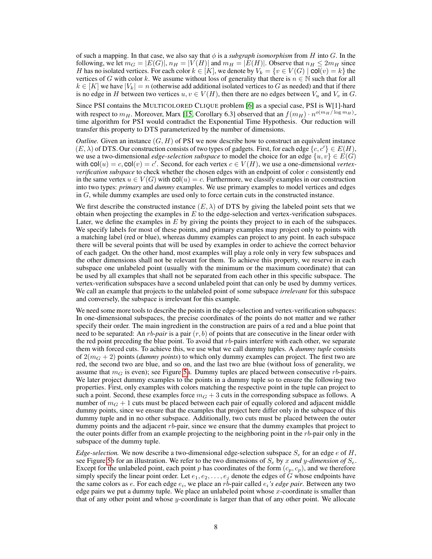of such a mapping. In that case, we also say that  $\phi$  is a *subgraph isomorphism* from H into G. In the following, we let  $m_G = |E(G)|$ ,  $n_H = |V(H)|$  and  $m_H = |E(H)|$ . Observe that  $n_H \leq 2m_H$  since H has no isolated vertices. For each color  $k \in [K]$ , we denote by  $V_k = \{v \in V(G) \mid \text{col}(v) = k\}$  the vertices of G with color k. We assume without loss of generality that there is  $n \in \mathbb{N}$  such that for all  $k \in [K]$  we have  $|V_k| = n$  (otherwise add additional isolated vertices to G as needed) and that if there is no edge in H between two vertices  $u, v \in V(H)$ , then there are no edges between  $V_u$  and  $V_v$  in G.

Since PSI contains the MULTICOLORED CLIQUE problem [\[6\]](#page-11-13) as a special case, PSI is W[1]-hard with respect to  $m_H$ . Moreover, Marx [\[15,](#page-11-14) Corollary 6.3] observed that an  $f(m_H) \cdot n^{o(m_H/\log m_H)}$ . time algorithm for PSI would contradict the Exponential Time Hypothesis. Our reduction will transfer this property to DTS parameterized by the number of dimensions.

*Outline.* Given an instance  $(G, H)$  of PSI we now describe how to construct an equivalent instance  $(E, \lambda)$  of DTS. Our construction consists of two types of gadgets. First, for each edge  $\{c, c'\} \in E(H)$ , we use a two-dimensional *edge-selection subspace* to model the choice for an edge  $\{u, v\} \in E(G)$ with  $col(u) = c$ ,  $col(v) = c'$ . Second, for each vertex  $c \in V(H)$ , we use a one-dimensional *vertexverification subspace* to check whether the chosen edges with an endpoint of color c consistently end in the same vertex  $u \in V(G)$  with  $col(u) = c$ . Furthermore, we classify examples in our construction into two types: *primary* and *dummy* examples. We use primary examples to model vertices and edges in G, while dummy examples are used only to force certain cuts in the constructed instance.

We first describe the constructed instance  $(E, \lambda)$  of DTS by giving the labeled point sets that we obtain when projecting the examples in  $E$  to the edge-selection and vertex-verification subspaces. Later, we define the examples in  $E$  by giving the points they project to in each of the subspaces. We specify labels for most of these points, and primary examples may project only to points with a matching label (red or blue), whereas dummy examples can project to any point. In each subspace there will be several points that will be used by examples in order to achieve the correct behavior of each gadget. On the other hand, most examples will play a role only in very few subspaces and the other dimensions shall not be relevant for them. To achieve this property, we reserve in each subspace one unlabeled point (usually with the minimum or the maximum coordinate) that can be used by all examples that shall not be separated from each other in this specific subspace. The vertex-verification subspaces have a second unlabeled point that can only be used by dummy vertices. We call an example that projects to the unlabeled point of some subspace *irrelevant* for this subspace and conversely, the subspace is irrelevant for this example.

We need some more tools to describe the points in the edge-selection and vertex-verification subspaces: In one-dimensional subspaces, the precise coordinates of the points do not matter and we rather specify their order. The main ingredient in the construction are pairs of a red and a blue point that need to be separated: An rb*-pair* is a pair (r, b) of points that are consecutive in the linear order with the red point preceding the blue point. To avoid that  $rb$ -pairs interfere with each other, we separate them with forced cuts. To achieve this, we use what we call dummy tuples. A *dummy tuple* consists of  $2(m<sub>G</sub> + 2)$  points (*dummy points*) to which only dummy examples can project. The first two are red, the second two are blue, and so on, and the last two are blue (without loss of generality, we assume that  $m<sub>G</sub>$  is even); see Figure [5a](#page-8-0). Dummy tuples are placed between consecutive rb-pairs. We later project dummy examples to the points in a dummy tuple so to ensure the following two properties. First, only examples with colors matching the respective point in the tuple can project to such a point. Second, these examples force  $m<sub>G</sub> + 3$  cuts in the corresponding subspace as follows. A number of  $m<sub>G</sub> + 1$  cuts must be placed between each pair of equally colored and adjacent middle dummy points, since we ensure that the examples that project here differ only in the subspace of this dummy tuple and in no other subspace. Additionally, two cuts must be placed between the outer dummy points and the adjacent  $rb$ -pair, since we ensure that the dummy examples that project to the outer points differ from an example projecting to the neighboring point in the  $rb$ -pair only in the subspace of the dummy tuple.

*Edge-selection.* We now describe a two-dimensional edge-selection subspace  $S_e$  for an edge e of H, see Figure [5b](#page-8-0) for an illustration. We refer to the two dimensions of  $S_e$  by x and y-dimension of  $S_e$ . Except for the unlabeled point, each point p has coordinates of the form  $(c_p, c_p)$ , and we therefore simply specify the linear point order. Let  $e_1, e_2, \ldots, e_j$  denote the edges of G whose endpoints have the same colors as  $e$ . For each edge  $e_i$ , we place an  $rb$ -pair called  $e_i$ 's edge pair. Between any two edge pairs we put a dummy tuple. We place an unlabeled point whose x-coordinate is smaller than that of any other point and whose y-coordinate is larger than that of any other point. We allocate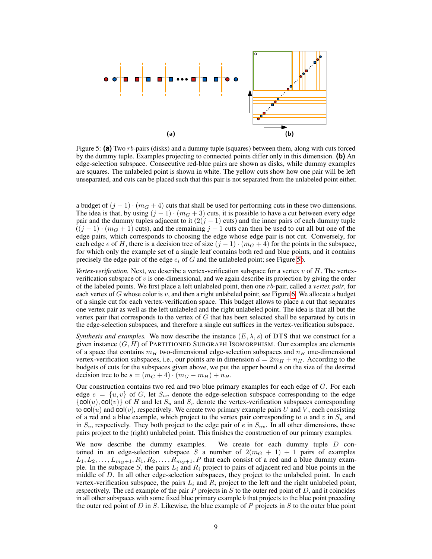<span id="page-8-0"></span>

Figure 5: **(a)** Two rb-pairs (disks) and a dummy tuple (squares) between them, along with cuts forced by the dummy tuple. Examples projecting to connected points differ only in this dimension. **(b)** An edge-selection subspace. Consecutive red-blue pairs are shown as disks, while dummy examples are squares. The unlabeled point is shown in white. The yellow cuts show how one pair will be left unseparated, and cuts can be placed such that this pair is not separated from the unlabeled point either.

a budget of  $(j - 1) \cdot (m_G + 4)$  cuts that shall be used for performing cuts in these two dimensions. The idea is that, by using  $(j - 1) \cdot (m_G + 3)$  cuts, it is possible to have a cut between every edge pair and the dummy tuples adjacent to it  $(2(j - 1)$  cuts) and the inner pairs of each dummy tuple  $((j-1)\cdot(m<sub>G</sub>+1)$  cuts), and the remaining  $j-1$  cuts can then be used to cut all but one of the edge pairs, which corresponds to choosing the edge whose edge pair is not cut. Conversely, for each edge e of H, there is a decision tree of size  $(j - 1) \cdot (m_G + 4)$  for the points in the subspace, for which only the example set of a single leaf contains both red and blue points, and it contains precisely the edge pair of the edge  $e_i$  of G and the unlabeled point; see Figure [5b](#page-8-0).

*Vertex-verification.* Next, we describe a vertex-verification subspace for a vertex  $v$  of  $H$ . The vertexverification subspace of  $v$  is one-dimensional, and we again describe its projection by giving the order of the labeled points. We first place a left unlabeled point, then one rb-pair, called a *vertex pair*, for each vertex of G whose color is v, and then a right unlabeled point; see Figure [6.](#page-9-0) We allocate a budget of a single cut for each vertex-verification space. This budget allows to place a cut that separates one vertex pair as well as the left unlabeled and the right unlabeled point. The idea is that all but the vertex pair that corresponds to the vertex of  $G$  that has been selected shall be separated by cuts in the edge-selection subspaces, and therefore a single cut suffices in the vertex-verification subspace.

*Synthesis and examples.* We now describe the instance  $(E, \lambda, s)$  of DTS that we construct for a given instance  $(G, H)$  of PARTITIONED SUBGRAPH ISOMORPHISM. Our examples are elements of a space that contains  $m_H$  two-dimensional edge-selection subspaces and  $n_H$  one-dimensional vertex-verification subspaces, i.e., our points are in dimension  $d = 2m<sub>H</sub> + n<sub>H</sub>$ . According to the budgets of cuts for the subspaces given above, we put the upper bound s on the size of the desired decision tree to be  $s = (m_G + 4) \cdot (m_G - m_H) + n_H$ .

Our construction contains two red and two blue primary examples for each edge of G. For each edge  $e = \{u, v\}$  of G, let  $S_{uv}$  denote the edge-selection subspace corresponding to the edge  ${col}(u), col(v)$  of H and let  $S_u$  and  $S_v$  denote the vertex-verification subspaces corresponding to  $col(u)$  and  $col(v)$ , respectively. We create two primary example pairs U and V, each consisting of a red and a blue example, which project to the vertex pair corresponding to u and v in  $S_u$  and in  $S_v$ , respectively. They both project to the edge pair of e in  $S_{uv}$ . In all other dimensions, these pairs project to the (right) unlabeled point. This finishes the construction of our primary examples.

We now describe the dummy examples. We create for each dummy tuple  $D$  contained in an edge-selection subspace S a number of  $2(m<sub>G</sub> + 1) + 1$  pairs of examples  $L_1, L_2, \ldots, L_{m_G+1}, R_1, R_2, \ldots, R_{m_G+1}, P$  that each consist of a red and a blue dummy example. In the subspace S, the pairs  $L_i$  and  $R_i$  project to pairs of adjacent red and blue points in the middle of D. In all other edge-selection subspaces, they project to the unlabeled point. In each vertex-verification subspace, the pairs  $L_i$  and  $R_i$  project to the left and the right unlabeled point, respectively. The red example of the pair  $P$  projects in  $S$  to the outer red point of  $D$ , and it coincides in all other subspaces with some fixed blue primary example  $b$  that projects to the blue point preceding the outer red point of  $D$  in  $S$ . Likewise, the blue example of  $P$  projects in  $S$  to the outer blue point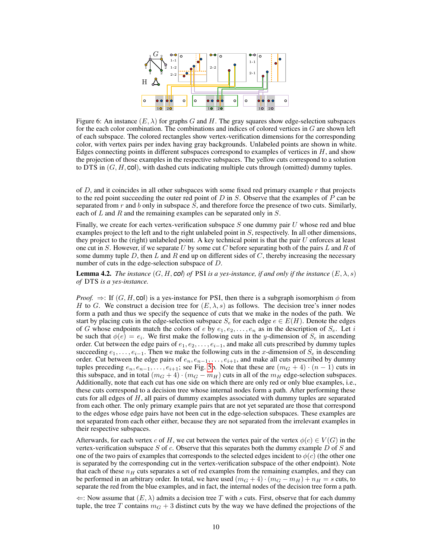<span id="page-9-0"></span>

Figure 6: An instance  $(E, \lambda)$  for graphs G and H. The gray squares show edge-selection subspaces for the each color combination. The combinations and indices of colored vertices in  $G$  are shown left of each subspace. The colored rectangles show vertex-verification dimensions for the corresponding color, with vertex pairs per index having gray backgrounds. Unlabeled points are shown in white. Edges connecting points in different subspaces correspond to examples of vertices in  $H$ , and show the projection of those examples in the respective subspaces. The yellow cuts correspond to a solution to DTS in  $(G, H, \text{col})$ , with dashed cuts indicating multiple cuts through (omitted) dummy tuples.

of  $D$ , and it coincides in all other subspaces with some fixed red primary example  $r$  that projects to the red point succeeding the outer red point of  $D$  in  $S$ . Observe that the examples of  $P$  can be separated from  $r$  and  $b$  only in subspace  $S$ , and therefore force the presence of two cuts. Similarly, each of  $L$  and  $R$  and the remaining examples can be separated only in  $S$ .

Finally, we create for each vertex-verification subspace  $S$  one dummy pair  $U$  whose red and blue examples project to the left and to the right unlabeled point in  $S$ , respectively. In all other dimensions, they project to the (right) unlabeled point. A key technical point is that the pair  $U$  enforces at least one cut in S. However, if we separate U by some cut C before separating both of the pairs  $L$  and  $R$  of some dummy tuple  $D$ , then  $L$  and  $R$  end up on different sides of  $C$ , thereby increasing the necessary number of cuts in the edge-selection subspace of D.

**Lemma 4.2.** *The instance*  $(G, H, \text{col})$  *of* PSI *is a yes-instance, if and only if the instance*  $(E, \lambda, s)$ *of* DTS *is a yes-instance.*

*Proof.*  $\Rightarrow$ : If  $(G, H, \text{col})$  is a yes-instance for PSI, then there is a subgraph isomorphism  $\phi$  from H to G. We construct a decision tree for  $(E, \lambda, s)$  as follows. The decision tree's inner nodes form a path and thus we specify the sequence of cuts that we make in the nodes of the path. We start by placing cuts in the edge-selection subspace  $S_e$  for each edge  $e \in E(H)$ . Denote the edges of G whose endpoints match the colors of e by  $e_1, e_2, \ldots, e_n$  as in the description of  $S_e$ . Let i be such that  $\phi(e) = e_i$ . We first make the following cuts in the y-dimension of  $S_e$  in ascending order. Cut between the edge pairs of  $e_1, e_2, \ldots, e_{i-1}$ , and make all cuts prescribed by dummy tuples succeeding  $e_1, \ldots, e_{i-1}$ . Then we make the following cuts in the x-dimension of  $S_e$  in descending order. Cut between the edge pairs of  $e_n, e_{n-1}, \ldots, e_{i+1}$ , and make all cuts prescribed by dummy tuples preceding  $e_n, e_{n-1}, \ldots, e_{i+1}$ ; see Fig. [5b](#page-8-0). Note that these are  $(m_G + 4) \cdot (n-1)$  cuts in this subspace, and in total  $(m_G + 4) \cdot (m_G - m_H)$  cuts in all of the  $m_H$  edge-selection subspaces. Additionally, note that each cut has one side on which there are only red or only blue examples, i.e., these cuts correspond to a decision tree whose internal nodes form a path. After performing these cuts for all edges of  $H$ , all pairs of dummy examples associated with dummy tuples are separated from each other. The only primary example pairs that are not yet separated are those that correspond to the edges whose edge pairs have not been cut in the edge-selection subspaces. These examples are not separated from each other either, because they are not separated from the irrelevant examples in their respective subspaces.

Afterwards, for each vertex c of H, we cut between the vertex pair of the vertex  $\phi(c) \in V(G)$  in the vertex-verification subspace S of c. Observe that this separates both the dummy example D of S and one of the two pairs of examples that corresponds to the selected edges incident to  $\phi(c)$  (the other one is separated by the corresponding cut in the vertex-verification subspace of the other endpoint). Note that each of these  $n_H$  cuts separates a set of red examples from the remaining examples, and they can be performed in an arbitrary order. In total, we have used  $(m_G + 4) \cdot (m_G - m_H) + n_H = s$  cuts, to separate the red from the blue examples, and in fact, the internal nodes of the decision tree form a path.

 $\Leftarrow$ : Now assume that  $(E, \lambda)$  admits a decision tree T with s cuts. First, observe that for each dummy tuple, the tree T contains  $m<sub>G</sub> + 3$  distinct cuts by the way we have defined the projections of the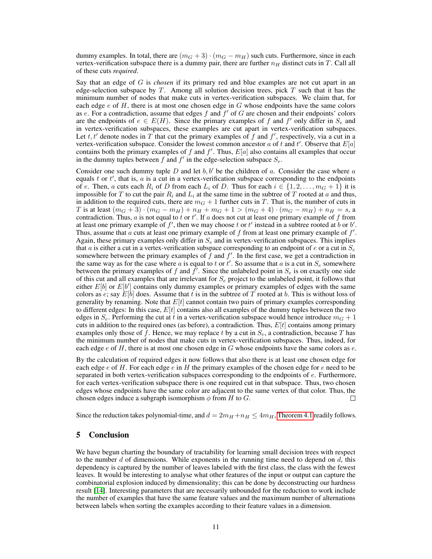dummy examples. In total, there are  $(m_G + 3) \cdot (m_G - m_H)$  such cuts. Furthermore, since in each vertex-verification subspace there is a dummy pair, there are further  $n_H$  distinct cuts in T. Call all of these cuts *required*.

Say that an edge of G is *chosen* if its primary red and blue examples are not cut apart in an edge-selection subspace by T. Among all solution decision trees, pick  $T$  such that it has the minimum number of nodes that make cuts in vertex-verification subspaces. We claim that, for each edge  $e$  of  $H$ , there is at most one chosen edge in  $G$  whose endpoints have the same colors as e. For a contradiction, assume that edges  $f$  and  $f'$  of  $G$  are chosen and their endpoints' colors are the endpoints of  $e \in E(H)$ . Since the primary examples of f and f' only differ in  $S_e$  and in vertex-verification subspaces, these examples are cut apart in vertex-verification subspaces. Let t, t' denote nodes in T that cut the primary examples of f and f', respectively, via a cut in a vertex-verification subspace. Consider the lowest common ancestor a of t and t'. Observe that  $E[a]$ contains both the primary examples of f and  $f'$ . Thus,  $E[a]$  also contains all examples that occur in the dummy tuples between f and  $f'$  in the edge-selection subspace  $S_e$ .

Consider one such dummy tuple D and let  $b, b'$  be the children of a. Consider the case where a equals  $t$  or  $t'$ , that is,  $a$  is a cut in a vertex-verification subspace corresponding to the endpoints of e. Then, a cuts each  $R_i$  of D from each  $L_i$  of D. Thus for each  $i \in \{1, 2, \ldots, m_G + 1\}$  it is impossible for T to cut the pair  $R_i$  and  $L_i$  at the same time in the subtree of T rooted at a and thus, in addition to the required cuts, there are  $m<sub>G</sub> + 1$  further cuts in T. That is, the number of cuts in T is at least  $(m_G + 3) \cdot (m_G - m_H) + n_H + m_G + 1 > (m_G + 4) \cdot (m_G - m_H) + n_H = s$ , a contradiction. Thus, a is not equal to t or t'. If a does not cut at least one primary example of f from at least one primary example of  $f'$ , then we may choose t or t' instead in a subtree rooted at b or b'. Thus, assume that  $\alpha$  cuts at least one primary example of  $f$  from at least one primary example of  $f'$ . Again, these primary examples only differ in  $S_e$  and in vertex-verification subspaces. This implies that a is either a cut in a vertex-verification subspace corresponding to an endpoint of  $e$  or a cut in  $S_e$ somewhere between the primary examples of  $\hat{f}$  and  $f'$ . In the first case, we get a contradiction in the same way as for the case where a is equal to t or t'. So assume that a is a cut in  $S_e$  somewhere between the primary examples of f and  $\hat{f}$ . Since the unlabeled point in  $S_e$  is on exactly one side of this cut and all examples that are irrelevant for  $S_e$  project to the unlabeled point, it follows that either  $E[b]$  or  $E[b']$  contains only dummy examples or primary examples of edges with the same colors as e; say  $E[b]$  does. Assume that t is in the subtree of T rooted at b. This is without loss of generality by renaming. Note that  $E[t]$  cannot contain two pairs of primary examples corresponding to different edges: In this case,  $E[t]$  contains also all examples of the dummy tuples between the two edges in  $S_e$ . Performing the cut at t in a vertex-verification subspace would hence introduce  $m<sub>G</sub> + 1$ cuts in addition to the required ones (as before), a contradiction. Thus,  $E[t]$  contains among primary examples only those of f. Hence, we may replace t by a cut in  $S_e$ , a contradiction, because T has the minimum number of nodes that make cuts in vertex-verification subspaces. Thus, indeed, for each edge  $e$  of  $H$ , there is at most one chosen edge in  $G$  whose endpoints have the same colors as  $e$ .

By the calculation of required edges it now follows that also there is at least one chosen edge for each edge  $e$  of H. For each edge  $e$  in H the primary examples of the chosen edge for  $e$  need to be separated in both vertex-verification subspaces corresponding to the endpoints of  $e$ . Furthermore, for each vertex-verification subspace there is one required cut in that subspace. Thus, two chosen edges whose endpoints have the same color are adjacent to the same vertex of that color. Thus, the chosen edges induce a subgraph isomorphism  $\phi$  from H to G. П

Since the reduction takes polynomial-time, and  $d = 2m_H + n_H \leq 4m_H$ , [Theorem 4.1](#page-6-0) readily follows.

## 5 Conclusion

We have begun charting the boundary of tractability for learning small decision trees with respect to the number d of dimensions. While exponents in the running time need to depend on  $d$ , this dependency is captured by the number of leaves labeled with the first class, the class with the fewest leaves. It would be interesting to analyse what other features of the input or output can capture the combinatorial explosion induced by dimensionality; this can be done by deconstructing our hardness result [\[14\]](#page-11-15). Interesting parameters that are necessarily unbounded for the reduction to work include the number of examples that have the same feature values and the maximum number of alternations between labels when sorting the examples according to their feature values in a dimension.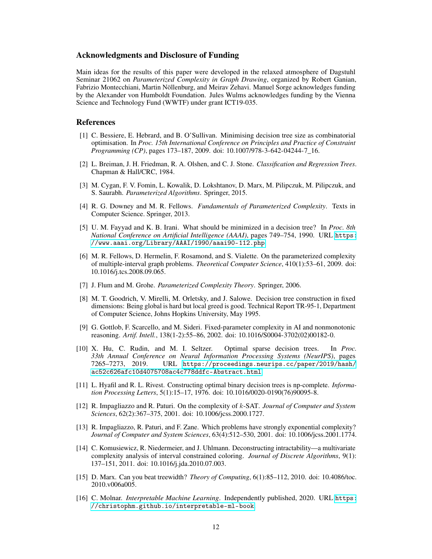#### Acknowledgments and Disclosure of Funding

Main ideas for the results of this paper were developed in the relaxed atmosphere of Dagstuhl Seminar 21062 on *Parameterized Complexity in Graph Drawing*, organized by Robert Ganian, Fabrizio Montecchiani, Martin Nöllenburg, and Meirav Zehavi. Manuel Sorge acknowledges funding by the Alexander von Humboldt Foundation. Jules Wulms acknowledges funding by the Vienna Science and Technology Fund (WWTF) under grant ICT19-035.

#### References

- <span id="page-11-2"></span>[1] C. Bessiere, E. Hebrard, and B. O'Sullivan. Minimising decision tree size as combinatorial optimisation. In *Proc. 15th International Conference on Principles and Practice of Constraint Programming (CP)*, pages 173–187, 2009. doi: 10.1007/978-3-642-04244-7\_16.
- <span id="page-11-3"></span>[2] L. Breiman, J. H. Friedman, R. A. Olshen, and C. J. Stone. *Classification and Regression Trees*. Chapman & Hall/CRC, 1984.
- <span id="page-11-8"></span>[3] M. Cygan, F. V. Fomin, L. Kowalik, D. Lokshtanov, D. Marx, M. Pilipczuk, M. Pilipczuk, and S. Saurabh. *Parameterized Algorithms*. Springer, 2015.
- <span id="page-11-9"></span>[4] R. G. Downey and M. R. Fellows. *Fundamentals of Parameterized Complexity*. Texts in Computer Science. Springer, 2013.
- <span id="page-11-1"></span>[5] U. M. Fayyad and K. B. Irani. What should be minimized in a decision tree? In *Proc. 8th National Conference on Artificial Intelligence (AAAI)*, pages 749–754, 1990. URL [https:](https://www.aaai.org/Library/AAAI/1990/aaai90-112.php) [//www.aaai.org/Library/AAAI/1990/aaai90-112.php](https://www.aaai.org/Library/AAAI/1990/aaai90-112.php).
- <span id="page-11-13"></span>[6] M. R. Fellows, D. Hermelin, F. Rosamond, and S. Vialette. On the parameterized complexity of multiple-interval graph problems. *Theoretical Computer Science*, 410(1):53–61, 2009. doi: 10.1016/j.tcs.2008.09.065.
- <span id="page-11-10"></span>[7] J. Flum and M. Grohe. *Parameterized Complexity Theory*. Springer, 2006.
- <span id="page-11-5"></span>[8] M. T. Goodrich, V. Mirelli, M. Orletsky, and J. Salowe. Decision tree construction in fixed dimensions: Being global is hard but local greed is good. Technical Report TR-95-1, Department of Computer Science, Johns Hopkins University, May 1995.
- <span id="page-11-7"></span>[9] G. Gottlob, F. Scarcello, and M. Sideri. Fixed-parameter complexity in AI and nonmonotonic reasoning. *Artif. Intell.*, 138(1-2):55–86, 2002. doi: 10.1016/S0004-3702(02)00182-0.
- <span id="page-11-4"></span>[10] X. Hu, C. Rudin, and M. I. Seltzer. Optimal sparse decision trees. In *Proc. 33th Annual Conference on Neural Information Processing Systems (NeurIPS)*, pages 7265–7273, 2019. URL [https://proceedings.neurips.cc/paper/2019/hash/](https://proceedings.neurips.cc/paper/2019/hash/ac52c626afc10d4075708ac4c778ddfc-Abstract.html) [ac52c626afc10d4075708ac4c778ddfc-Abstract.html](https://proceedings.neurips.cc/paper/2019/hash/ac52c626afc10d4075708ac4c778ddfc-Abstract.html).
- <span id="page-11-6"></span>[11] L. Hyafil and R. L. Rivest. Constructing optimal binary decision trees is np-complete. *Information Processing Letters*, 5(1):15–17, 1976. doi: 10.1016/0020-0190(76)90095-8.
- <span id="page-11-11"></span>[12] R. Impagliazzo and R. Paturi. On the complexity of k-SAT. *Journal of Computer and System Sciences*, 62(2):367–375, 2001. doi: 10.1006/jcss.2000.1727.
- <span id="page-11-12"></span>[13] R. Impagliazzo, R. Paturi, and F. Zane. Which problems have strongly exponential complexity? *Journal of Computer and System Sciences*, 63(4):512–530, 2001. doi: 10.1006/jcss.2001.1774.
- <span id="page-11-15"></span>[14] C. Komusiewicz, R. Niedermeier, and J. Uhlmann. Deconstructing intractability—a multivariate complexity analysis of interval constrained coloring. *Journal of Discrete Algorithms*, 9(1): 137–151, 2011. doi: 10.1016/j.jda.2010.07.003.
- <span id="page-11-14"></span>[15] D. Marx. Can you beat treewidth? *Theory of Computing*, 6(1):85–112, 2010. doi: 10.4086/toc. 2010.v006a005.
- <span id="page-11-0"></span>[16] C. Molnar. *Interpretable Machine Learning*. Independently published, 2020. URL [https:](https://christophm.github.io/interpretable-ml-book) [//christophm.github.io/interpretable-ml-book](https://christophm.github.io/interpretable-ml-book).